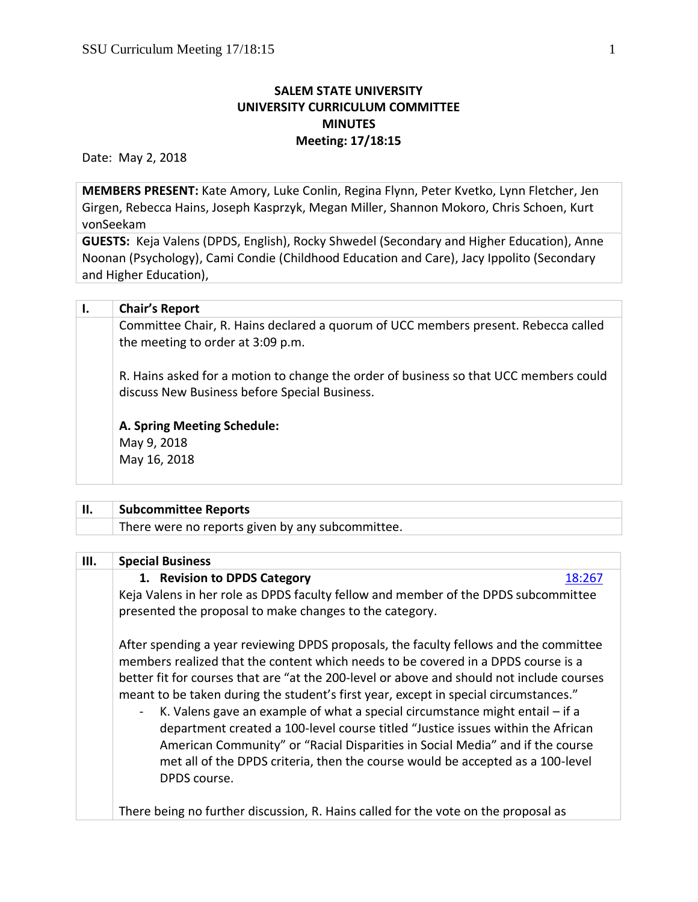## **SALEM STATE UNIVERSITY UNIVERSITY CURRICULUM COMMITTEE MINUTES Meeting: 17/18:15**

Date: May 2, 2018

**MEMBERS PRESENT:** Kate Amory, Luke Conlin, Regina Flynn, Peter Kvetko, Lynn Fletcher, Jen Girgen, Rebecca Hains, Joseph Kasprzyk, Megan Miller, Shannon Mokoro, Chris Schoen, Kurt vonSeekam

**GUESTS:** Keja Valens (DPDS, English), Rocky Shwedel (Secondary and Higher Education), Anne Noonan (Psychology), Cami Condie (Childhood Education and Care), Jacy Ippolito (Secondary and Higher Education),

| Ι. | <b>Chair's Report</b>                                                                                                                  |
|----|----------------------------------------------------------------------------------------------------------------------------------------|
|    | Committee Chair, R. Hains declared a quorum of UCC members present. Rebecca called<br>the meeting to order at 3:09 p.m.                |
|    | R. Hains asked for a motion to change the order of business so that UCC members could<br>discuss New Business before Special Business. |
|    | A. Spring Meeting Schedule:<br>May 9, 2018<br>May 16, 2018                                                                             |
|    |                                                                                                                                        |

## **II. Subcommittee Reports**

There were no reports given by any subcommittee.

| Ш. | <b>Special Business</b>                                                                                                                                                                                                                                                                                                                                                                                                                                                                                                                                                                                                                                                                                               |
|----|-----------------------------------------------------------------------------------------------------------------------------------------------------------------------------------------------------------------------------------------------------------------------------------------------------------------------------------------------------------------------------------------------------------------------------------------------------------------------------------------------------------------------------------------------------------------------------------------------------------------------------------------------------------------------------------------------------------------------|
|    | 1. Revision to DPDS Category<br>18:267                                                                                                                                                                                                                                                                                                                                                                                                                                                                                                                                                                                                                                                                                |
|    | Keja Valens in her role as DPDS faculty fellow and member of the DPDS subcommittee                                                                                                                                                                                                                                                                                                                                                                                                                                                                                                                                                                                                                                    |
|    | presented the proposal to make changes to the category.                                                                                                                                                                                                                                                                                                                                                                                                                                                                                                                                                                                                                                                               |
|    | After spending a year reviewing DPDS proposals, the faculty fellows and the committee<br>members realized that the content which needs to be covered in a DPDS course is a<br>better fit for courses that are "at the 200-level or above and should not include courses<br>meant to be taken during the student's first year, except in special circumstances."<br>K. Valens gave an example of what a special circumstance might entail - if a<br>department created a 100-level course titled "Justice issues within the African<br>American Community" or "Racial Disparities in Social Media" and if the course<br>met all of the DPDS criteria, then the course would be accepted as a 100-level<br>DPDS course. |
|    | There being no further discussion, R. Hains called for the vote on the proposal as                                                                                                                                                                                                                                                                                                                                                                                                                                                                                                                                                                                                                                    |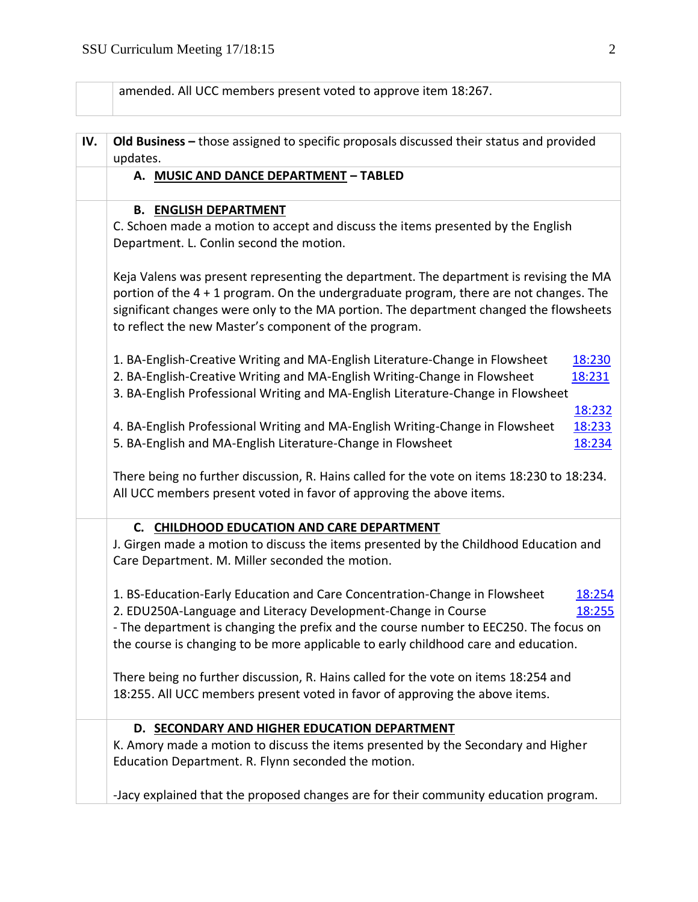amended. All UCC members present voted to approve item 18:267.

| IV. | Old Business - those assigned to specific proposals discussed their status and provided                                                                            |  |  |  |
|-----|--------------------------------------------------------------------------------------------------------------------------------------------------------------------|--|--|--|
|     | updates.<br>A. MUSIC AND DANCE DEPARTMENT - TABLED                                                                                                                 |  |  |  |
|     |                                                                                                                                                                    |  |  |  |
|     | <b>B. ENGLISH DEPARTMENT</b>                                                                                                                                       |  |  |  |
|     | C. Schoen made a motion to accept and discuss the items presented by the English                                                                                   |  |  |  |
|     | Department. L. Conlin second the motion.                                                                                                                           |  |  |  |
|     | Keja Valens was present representing the department. The department is revising the MA                                                                             |  |  |  |
|     | portion of the 4 + 1 program. On the undergraduate program, there are not changes. The                                                                             |  |  |  |
|     | significant changes were only to the MA portion. The department changed the flowsheets                                                                             |  |  |  |
|     | to reflect the new Master's component of the program.                                                                                                              |  |  |  |
|     | 1. BA-English-Creative Writing and MA-English Literature-Change in Flowsheet<br>18:230                                                                             |  |  |  |
|     | 2. BA-English-Creative Writing and MA-English Writing-Change in Flowsheet<br>18:231                                                                                |  |  |  |
|     | 3. BA-English Professional Writing and MA-English Literature-Change in Flowsheet                                                                                   |  |  |  |
|     | 18:232                                                                                                                                                             |  |  |  |
|     | 4. BA-English Professional Writing and MA-English Writing-Change in Flowsheet<br>18:233                                                                            |  |  |  |
|     | 5. BA-English and MA-English Literature-Change in Flowsheet<br>18:234                                                                                              |  |  |  |
|     | There being no further discussion, R. Hains called for the vote on items 18:230 to 18:234.<br>All UCC members present voted in favor of approving the above items. |  |  |  |
|     | C. CHILDHOOD EDUCATION AND CARE DEPARTMENT                                                                                                                         |  |  |  |
|     | J. Girgen made a motion to discuss the items presented by the Childhood Education and<br>Care Department. M. Miller seconded the motion.                           |  |  |  |
|     | 1. BS-Education-Early Education and Care Concentration-Change in Flowsheet<br>18:254                                                                               |  |  |  |
|     | 2. EDU250A-Language and Literacy Development-Change in Course<br>18:255                                                                                            |  |  |  |
|     | - The department is changing the prefix and the course number to EEC250. The focus on                                                                              |  |  |  |
|     | the course is changing to be more applicable to early childhood care and education.                                                                                |  |  |  |
|     | There being no further discussion, R. Hains called for the vote on items 18:254 and                                                                                |  |  |  |
|     | 18:255. All UCC members present voted in favor of approving the above items.                                                                                       |  |  |  |
|     | D. SECONDARY AND HIGHER EDUCATION DEPARTMENT                                                                                                                       |  |  |  |
|     | K. Amory made a motion to discuss the items presented by the Secondary and Higher                                                                                  |  |  |  |
|     | Education Department. R. Flynn seconded the motion.                                                                                                                |  |  |  |
|     | -Jacy explained that the proposed changes are for their community education program.                                                                               |  |  |  |
|     |                                                                                                                                                                    |  |  |  |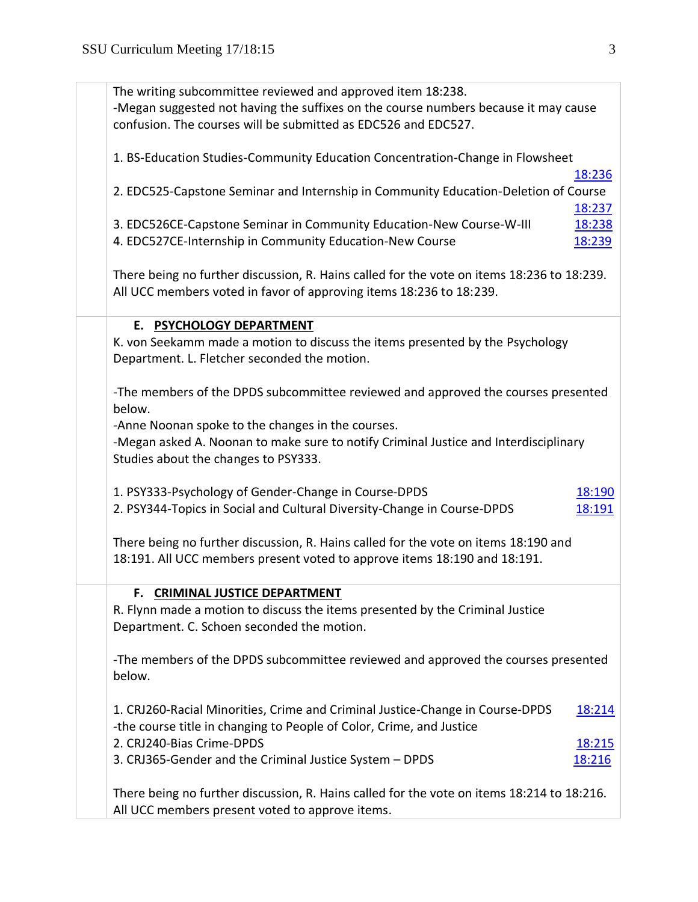| The writing subcommittee reviewed and approved item 18:238.                                |        |
|--------------------------------------------------------------------------------------------|--------|
| -Megan suggested not having the suffixes on the course numbers because it may cause        |        |
| confusion. The courses will be submitted as EDC526 and EDC527.                             |        |
|                                                                                            |        |
| 1. BS-Education Studies-Community Education Concentration-Change in Flowsheet              |        |
|                                                                                            | 18:236 |
| 2. EDC525-Capstone Seminar and Internship in Community Education-Deletion of Course        |        |
|                                                                                            | 18:237 |
| 3. EDC526CE-Capstone Seminar in Community Education-New Course-W-III                       | 18:238 |
| 4. EDC527CE-Internship in Community Education-New Course                                   | 18:239 |
|                                                                                            |        |
| There being no further discussion, R. Hains called for the vote on items 18:236 to 18:239. |        |
| All UCC members voted in favor of approving items 18:236 to 18:239.                        |        |
|                                                                                            |        |
|                                                                                            |        |
| E. PSYCHOLOGY DEPARTMENT                                                                   |        |
| K. von Seekamm made a motion to discuss the items presented by the Psychology              |        |
| Department. L. Fletcher seconded the motion.                                               |        |
|                                                                                            |        |
| -The members of the DPDS subcommittee reviewed and approved the courses presented          |        |
| below.                                                                                     |        |
| -Anne Noonan spoke to the changes in the courses.                                          |        |
| -Megan asked A. Noonan to make sure to notify Criminal Justice and Interdisciplinary       |        |
| Studies about the changes to PSY333.                                                       |        |
|                                                                                            |        |
| 1. PSY333-Psychology of Gender-Change in Course-DPDS                                       | 18:190 |
| 2. PSY344-Topics in Social and Cultural Diversity-Change in Course-DPDS                    | 18:191 |
|                                                                                            |        |
| There being no further discussion, R. Hains called for the vote on items 18:190 and        |        |
| 18:191. All UCC members present voted to approve items 18:190 and 18:191.                  |        |
|                                                                                            |        |
| F. CRIMINAL JUSTICE DEPARTMENT                                                             |        |
| R. Flynn made a motion to discuss the items presented by the Criminal Justice              |        |
| Department. C. Schoen seconded the motion.                                                 |        |
|                                                                                            |        |
| -The members of the DPDS subcommittee reviewed and approved the courses presented          |        |
| below.                                                                                     |        |
|                                                                                            |        |
| 1. CRJ260-Racial Minorities, Crime and Criminal Justice-Change in Course-DPDS              | 18:214 |
| -the course title in changing to People of Color, Crime, and Justice                       |        |
| 2. CRJ240-Bias Crime-DPDS                                                                  | 18:215 |
| 3. CRJ365-Gender and the Criminal Justice System - DPDS                                    | 18:216 |
|                                                                                            |        |
|                                                                                            |        |
| There being no further discussion, R. Hains called for the vote on items 18:214 to 18:216. |        |
| All UCC members present voted to approve items.                                            |        |